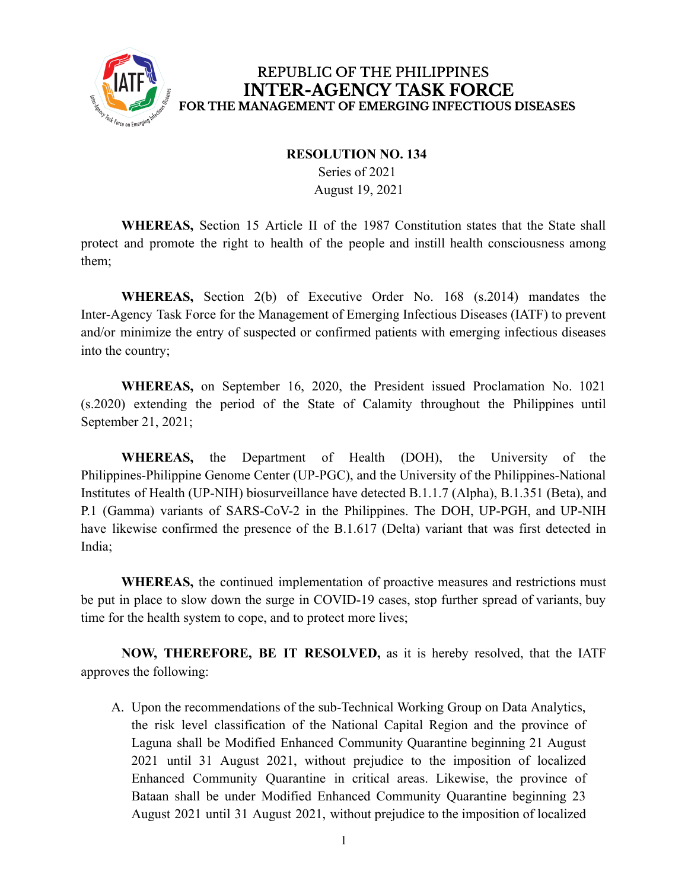

## REPUBLIC OF THE PHILIPPINES **INTER-AGENCY TASK FORCE** FOR THE MANAGEMENT OF EMERGING INFECTIOUS DISEASES

## **RESOLUTION NO. 134**

Series of 2021 August 19, 2021

**WHEREAS,** Section 15 Article II of the 1987 Constitution states that the State shall protect and promote the right to health of the people and instill health consciousness among them;

**WHEREAS,** Section 2(b) of Executive Order No. 168 (s.2014) mandates the Inter-Agency Task Force for the Management of Emerging Infectious Diseases (IATF) to prevent and/or minimize the entry of suspected or confirmed patients with emerging infectious diseases into the country;

**WHEREAS,** on September 16, 2020, the President issued Proclamation No. 1021 (s.2020) extending the period of the State of Calamity throughout the Philippines until September 21, 2021;

**WHEREAS,** the Department of Health (DOH), the University of the Philippines-Philippine Genome Center (UP-PGC), and the University of the Philippines-National Institutes of Health (UP-NIH) biosurveillance have detected B.1.1.7 (Alpha), B.1.351 (Beta), and P.1 (Gamma) variants of SARS-CoV-2 in the Philippines. The DOH, UP-PGH, and UP-NIH have likewise confirmed the presence of the B.1.617 (Delta) variant that was first detected in India;

**WHEREAS,** the continued implementation of proactive measures and restrictions must be put in place to slow down the surge in COVID-19 cases, stop further spread of variants, buy time for the health system to cope, and to protect more lives;

**NOW, THEREFORE, BE IT RESOLVED,** as it is hereby resolved, that the IATF approves the following:

A. Upon the recommendations of the sub-Technical Working Group on Data Analytics, the risk level classification of the National Capital Region and the province of Laguna shall be Modified Enhanced Community Quarantine beginning 21 August 2021 until 31 August 2021, without prejudice to the imposition of localized Enhanced Community Quarantine in critical areas. Likewise, the province of Bataan shall be under Modified Enhanced Community Quarantine beginning 23 August 2021 until 31 August 2021, without prejudice to the imposition of localized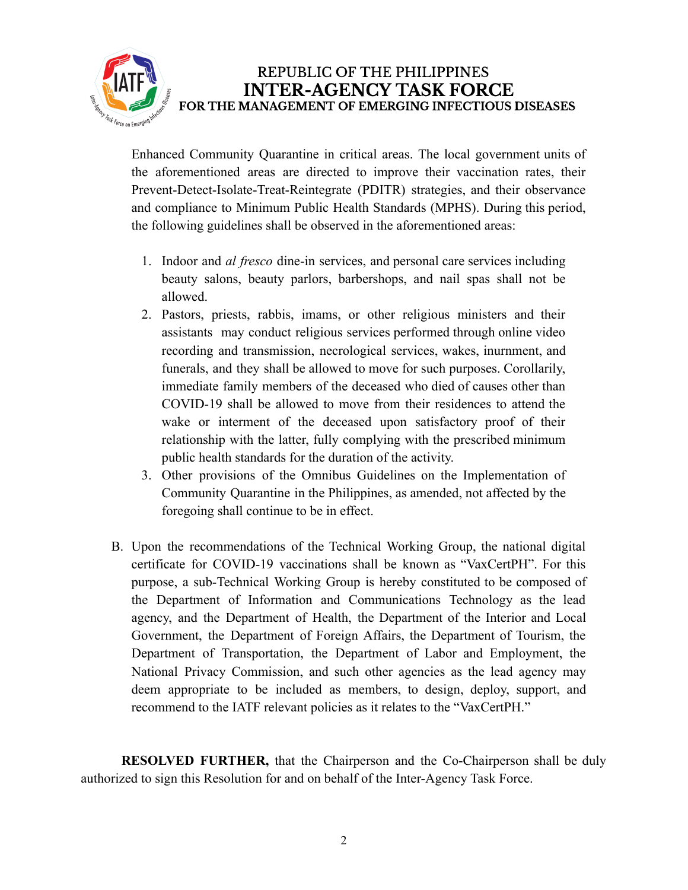

REPUBLIC OF THE PHILIPPINES **INTER-AGENCY TASK FORCE** FOR THE MANAGEMENT OF EMERGING INFECTIOUS DISEASES

Enhanced Community Quarantine in critical areas. The local government units of the aforementioned areas are directed to improve their vaccination rates, their Prevent-Detect-Isolate-Treat-Reintegrate (PDITR) strategies, and their observance and compliance to Minimum Public Health Standards (MPHS). During this period, the following guidelines shall be observed in the aforementioned areas:

- 1. Indoor and *al fresco* dine-in services, and personal care services including beauty salons, beauty parlors, barbershops, and nail spas shall not be allowed.
- 2. Pastors, priests, rabbis, imams, or other religious ministers and their assistants may conduct religious services performed through online video recording and transmission, necrological services, wakes, inurnment, and funerals, and they shall be allowed to move for such purposes. Corollarily, immediate family members of the deceased who died of causes other than COVID-19 shall be allowed to move from their residences to attend the wake or interment of the deceased upon satisfactory proof of their relationship with the latter, fully complying with the prescribed minimum public health standards for the duration of the activity.
- 3. Other provisions of the Omnibus Guidelines on the Implementation of Community Quarantine in the Philippines, as amended, not affected by the foregoing shall continue to be in effect.
- B. Upon the recommendations of the Technical Working Group, the national digital certificate for COVID-19 vaccinations shall be known as "VaxCertPH". For this purpose, a sub-Technical Working Group is hereby constituted to be composed of the Department of Information and Communications Technology as the lead agency, and the Department of Health, the Department of the Interior and Local Government, the Department of Foreign Affairs, the Department of Tourism, the Department of Transportation, the Department of Labor and Employment, the National Privacy Commission, and such other agencies as the lead agency may deem appropriate to be included as members, to design, deploy, support, and recommend to the IATF relevant policies as it relates to the "VaxCertPH."

**RESOLVED FURTHER,** that the Chairperson and the Co-Chairperson shall be duly authorized to sign this Resolution for and on behalf of the Inter-Agency Task Force.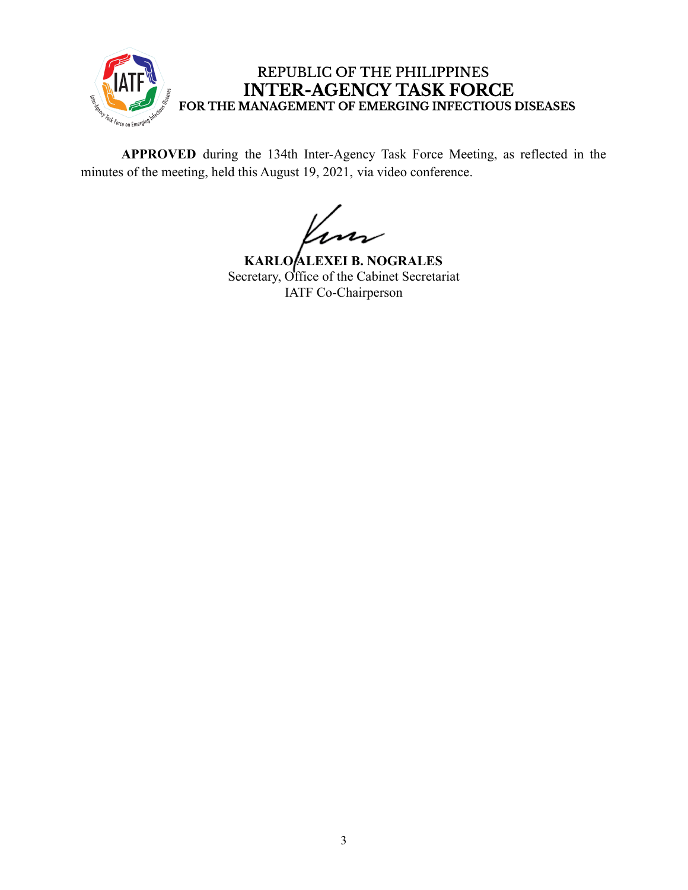

## REPUBLIC OF THE PHILIPPINES INTER-AGENCY TASK FORCE<br>FOR THE MANAGEMENT OF EMERGING INFECTIOUS DISEASES

**APPROVED** during the 134th Inter-Agency Task Force Meeting, as reflected in the minutes of the meeting, held this August 19, 2021, via video conference.

**KARLO ALEXEI B. NOGRALES** Secretary, Office of the Cabinet Secretariat IATF Co-Chairperson